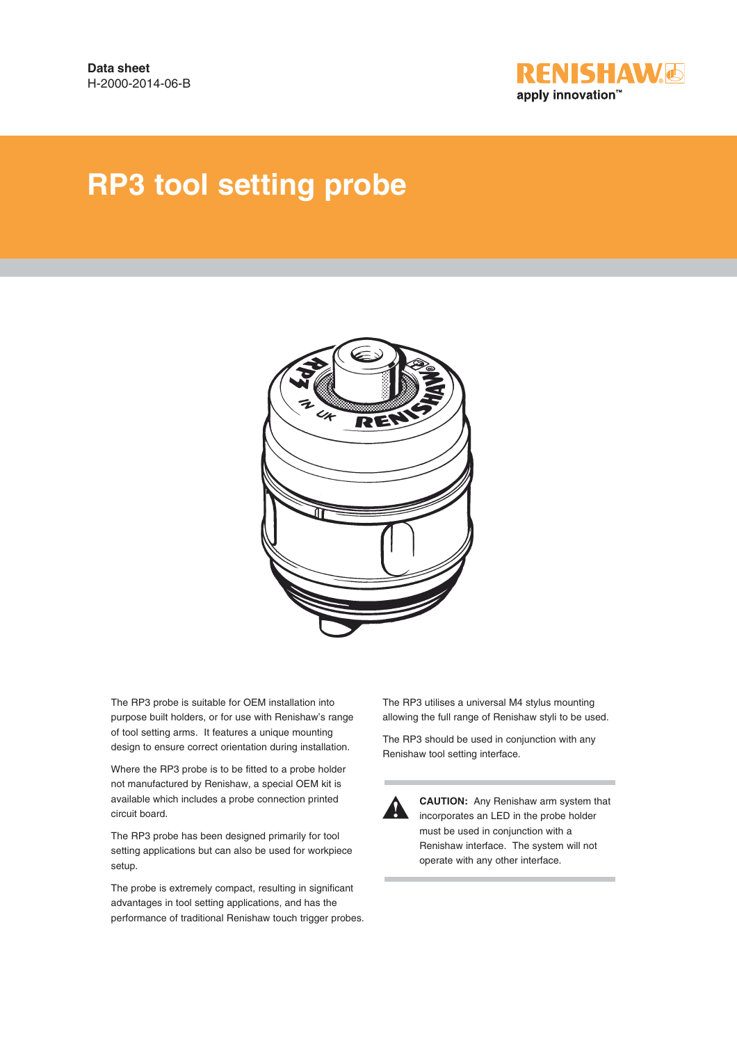

# **RP3 tool setting probe**



The RP3 probe is suitable for OEM installation into purpose built holders, or for use with Renishaw's range of tool setting arms. It features a unique mounting design to ensure correct orientation during installation.

Where the RP3 probe is to be fitted to a probe holder not manufactured by Renishaw, a special OEM kit is available which includes a probe connection printed circuit board.

The RP3 probe has been designed primarily for tool setting applications but can also be used for workpiece setup.

The probe is extremely compact, resulting in significant advantages in tool setting applications, and has the performance of traditional Renishaw touch trigger probes. The RP3 utilises a universal M4 stylus mounting allowing the full range of Renishaw styli to be used.

The RP3 should be used in conjunction with any Renishaw tool setting interface.



**12 CAUTION:** Any Renishaw arm system that incorporates an LED in the probe holder must be used in conjunction with a Renishaw interface. The system will not operate with any other interface.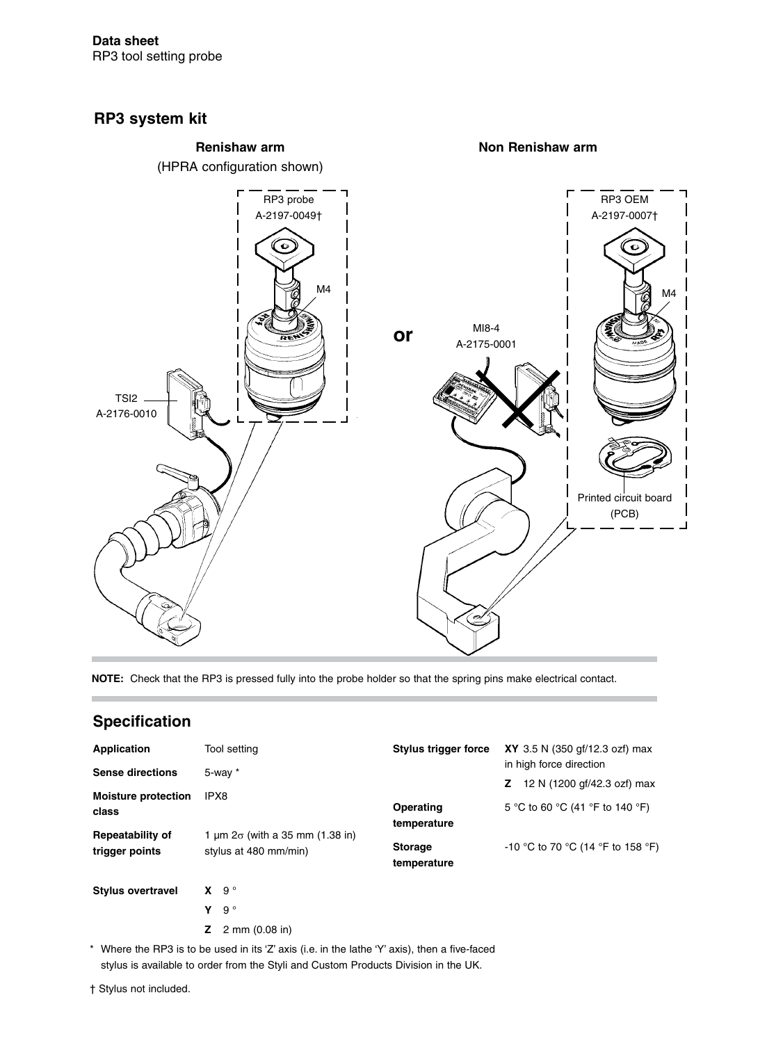### **RP3 system kit**



**NOTE:** Check that the RP3 is pressed fully into the probe holder so that the spring pins make electrical contact.

### **Specification**

| Application<br><b>Sense directions</b>    | Tool setting                                                         | Stylus trigger force          | <b>XY</b> 3.5 N (350 gf/12.3 ozf) max<br>in high force direction |  |
|-------------------------------------------|----------------------------------------------------------------------|-------------------------------|------------------------------------------------------------------|--|
| <b>Moisture protection</b>                | $5$ -way $*$<br>IPX8                                                 |                               | 12 N (1200 gf/42.3 ozf) max<br>Z.                                |  |
| class                                     |                                                                      | Operating<br>temperature      | 5 °C to 60 °C (41 °F to 140 °F)                                  |  |
| <b>Repeatability of</b><br>trigger points | 1 $\mu$ m $2\sigma$ (with a 35 mm (1.38 in)<br>stylus at 480 mm/min) | <b>Storage</b><br>temperature | -10 °C to 70 °C (14 °F to 158 °F)                                |  |
| <b>Stylus overtravel</b>                  | $9^{\circ}$<br>x.<br>$9^{\circ}$<br>v                                |                               |                                                                  |  |

**Z** 2 mm (0.08 in)

\* Where the RP3 is to be used in its 'Z' axis (i.e. in the lathe 'Y' axis), then a five-faced stylus is available to order from the Styli and Custom Products Division in the UK.

† Stylus not included.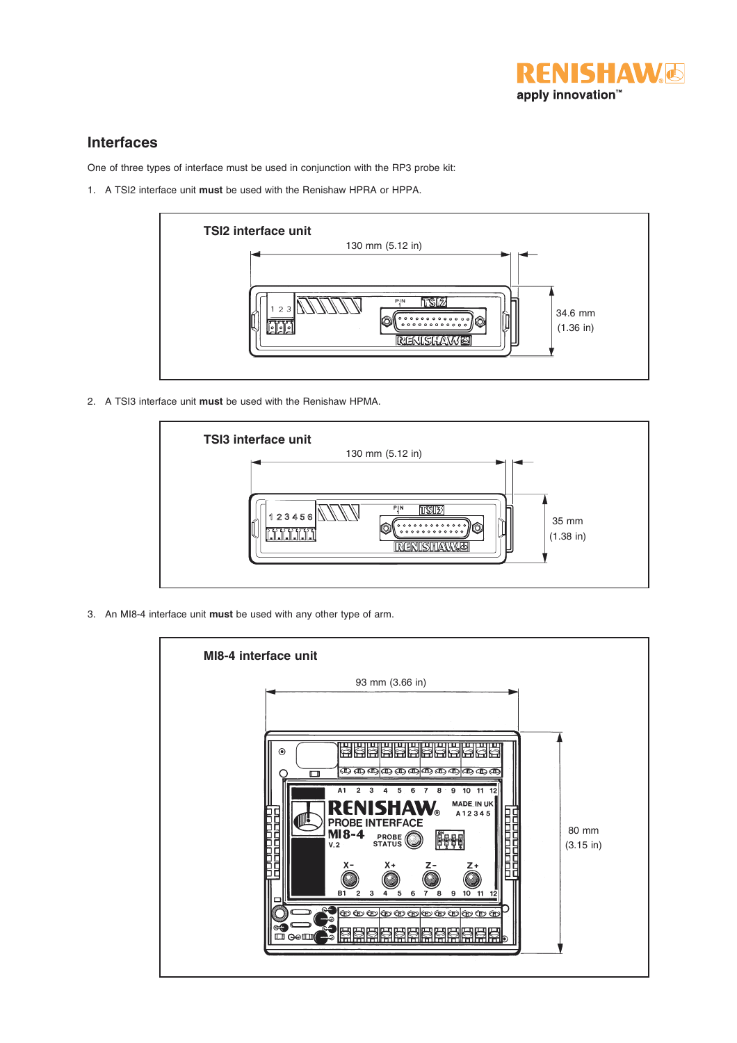

### **Interfaces**

One of three types of interface must be used in conjunction with the RP3 probe kit:

1. A TSI2 interface unit **must** be used with the Renishaw HPRA or HPPA.



2. A TSI3 interface unit **must** be used with the Renishaw HPMA.



3. An MI8-4 interface unit **must** be used with any other type of arm.

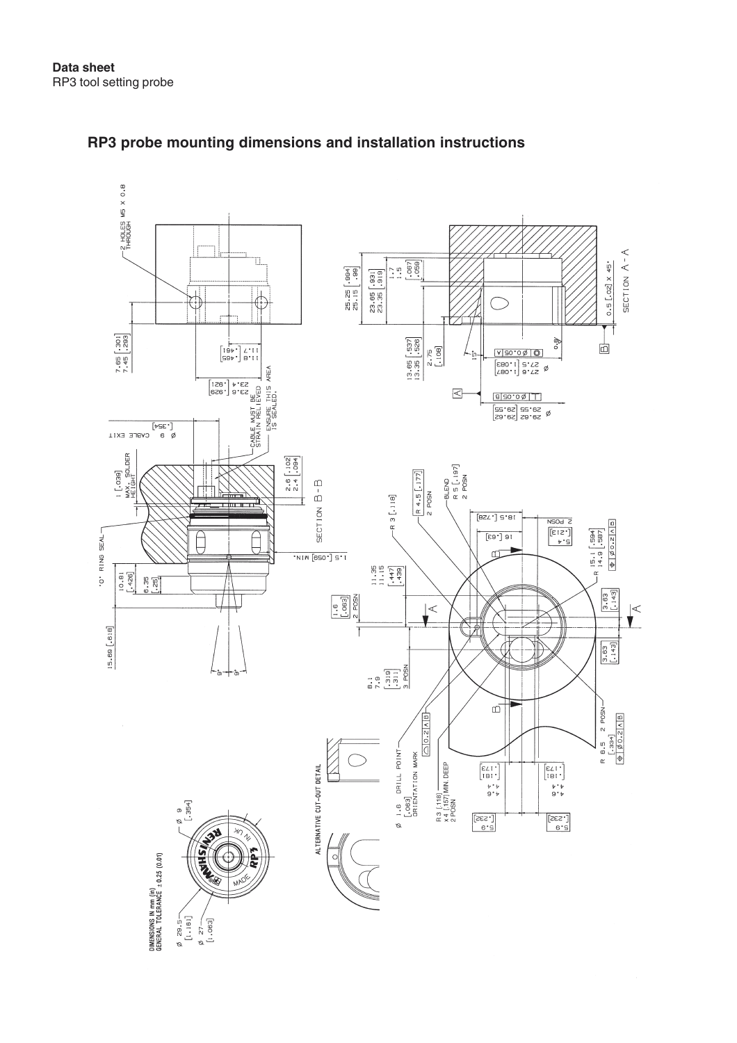

### **RP3 probe mounting dimensions and installation instructions**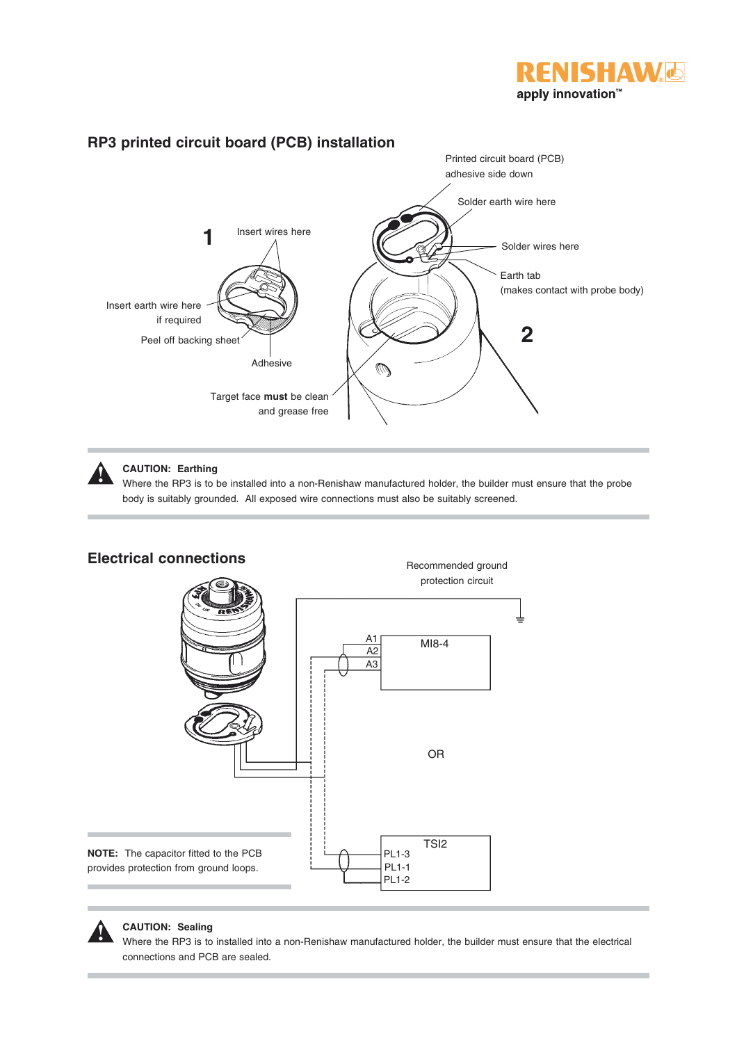



### **CAUTION: Earthing**

**!**

Where the RP3 is to be installed into a non-Renishaw manufactured holder, the builder must ensure that the probe body is suitably grounded. All exposed wire connections must also be suitably screened.



## **Electrical connections**

#### **CAUTION: Sealing**

**!**

Where the RP3 is to installed into a non-Renishaw manufactured holder, the builder must ensure that the electrical connections and PCB are sealed.